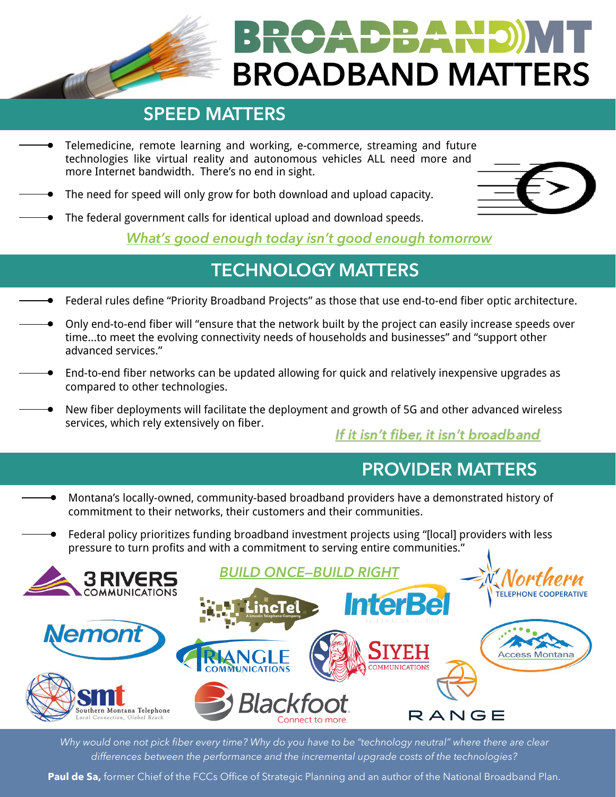**TEANI BROADBAND MATTERS**

### **SPEED MATTERS**

- Telemedicine, remote learning and working, e-commerce, streaming and future technologies like virtual reality and autonomous vehicles ALL need more and more Internet bandwidth. There's no end in sight.
- The need for speed will only grow for both download and upload capacity.



• The federal government calls for identical upload and download speeds.

*What's good enough today isn't good enough tomorrow*

### **TECHNOLOGY MATTERS**

- Federal rules define "Priority Broadband Projects" as those that use end-to-end fiber optic architecture.
- Only end-to-end fiber will "ensure that the network built by the project can easily increase speeds over time…to meet the evolving connectivity needs of households and businesses" and "support other advanced services."
- End-to-end fiber networks can be updated allowing for quick and relatively inexpensive upgrades as compared to other technologies.
- New fiber deployments will facilitate the deployment and growth of 5G and other advanced wireless services, which rely extensively on fiber.

If it isn't fiber, it isn't broadband

### **PROVIDER MATTERS**

- Montana's locally-owned, community-based broadband providers have a demonstrated history of commitment to their networks, their customers and their communities.
- Federal policy prioritizes funding broadband investment projects using "[local] providers with less pressure to turn profits and with a commitment to serving entire communities."



*Why would one not pick fiber every time? Why do you have to be "technology neutral" where there are clear differences between the performance and the incremental upgrade costs of the technologies?*

Paul de Sa, former Chief of the FCCs Office of Strategic Planning and an author of the National Broadband Plan.